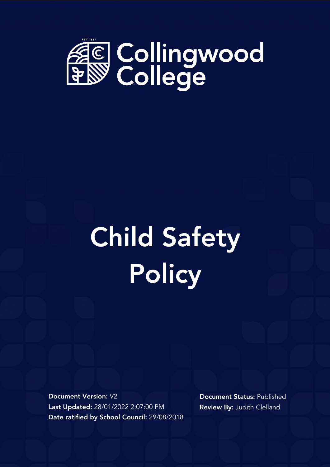

# Child Safety **Policy**

Document Version: V2 Last Updated: 28/01/2022 2:07:00 PM Date ratified by School Council: 29/08/2018 Document Status: Published Review By: Judith Clelland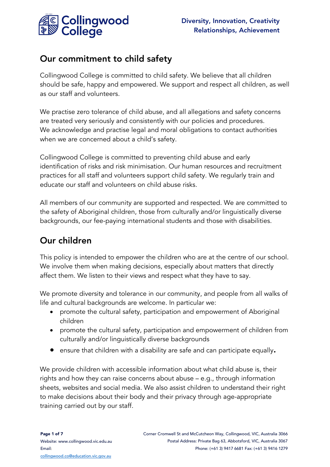

## Our commitment to child safety

Collingwood College is committed to child safety. We believe that all children should be safe, happy and empowered. We support and respect all children, as well as our staff and volunteers.

We practise zero tolerance of child abuse, and all allegations and safety concerns are treated very seriously and consistently with our policies and procedures. We acknowledge and practise legal and moral obligations to contact authorities when we are concerned about a child's safety.

Collingwood College is committed to preventing child abuse and early identification of risks and risk minimisation. Our human resources and recruitment practices for all staff and volunteers support child safety. We regularly train and educate our staff and volunteers on child abuse risks.

All members of our community are supported and respected. We are committed to the safety of Aboriginal children, those from culturally and/or linguistically diverse backgrounds, our fee-paying international students and those with disabilities.

## Our children

This policy is intended to empower the children who are at the centre of our school. We involve them when making decisions, especially about matters that directly affect them. We listen to their views and respect what they have to say.

We promote diversity and tolerance in our community, and people from all walks of life and cultural backgrounds are welcome. In particular we:

- promote the cultural safety, participation and empowerment of Aboriginal children
- promote the cultural safety, participation and empowerment of children from culturally and/or linguistically diverse backgrounds
- ensure that children with a disability are safe and can participate equally.

We provide children with accessible information about what child abuse is, their rights and how they can raise concerns about abuse – e.g., through information sheets, websites and social media. We also assist children to understand their right to make decisions about their body and their privacy through age-appropriate training carried out by our staff.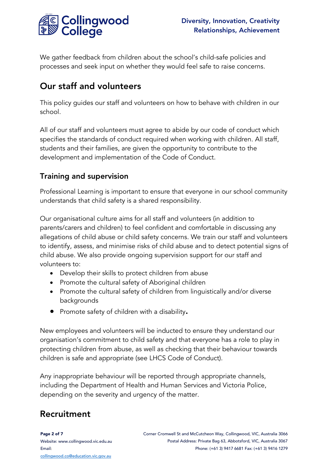

We gather feedback from children about the school's child-safe policies and processes and seek input on whether they would feel safe to raise concerns.

# Our staff and volunteers

This policy guides our staff and volunteers on how to behave with children in our school.

All of our staff and volunteers must agree to abide by our code of conduct which specifies the standards of conduct required when working with children. All staff, students and their families, are given the opportunity to contribute to the development and implementation of the Code of Conduct.

## Training and supervision

Professional Learning is important to ensure that everyone in our school community understands that child safety is a shared responsibility.

Our organisational culture aims for all staff and volunteers (in addition to parents/carers and children) to feel confident and comfortable in discussing any allegations of child abuse or child safety concerns. We train our staff and volunteers to identify, assess, and minimise risks of child abuse and to detect potential signs of child abuse. We also provide ongoing supervision support for our staff and volunteers to:

- Develop their skills to protect children from abuse
- Promote the cultural safety of Aboriginal children
- Promote the cultural safety of children from linguistically and/or diverse backgrounds
- Promote safety of children with a disability.

New employees and volunteers will be inducted to ensure they understand our organisation's commitment to child safety and that everyone has a role to play in protecting children from abuse, as well as checking that their behaviour towards children is safe and appropriate (see LHCS Code of Conduct).

Any inappropriate behaviour will be reported through appropriate channels, including the Department of Health and Human Services and Victoria Police, depending on the severity and urgency of the matter.

# Recruitment

Page 2 of 7 Website[: www.collingwood.vic.edu.au](http://www.collingwood.vic.edu.au/) Email: [collingwood.co@education.vic.gov.au](mailto:collingwood.co@education.vic.gov.au)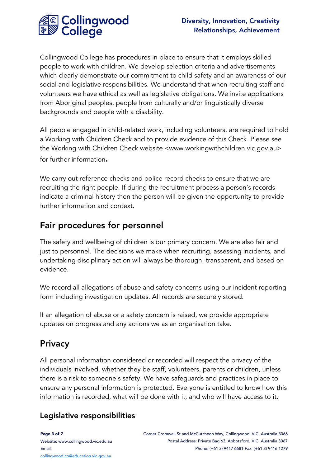

Collingwood College has procedures in place to ensure that it employs skilled people to work with children. We develop selection criteria and advertisements which clearly demonstrate our commitment to child safety and an awareness of our social and legislative responsibilities. We understand that when recruiting staff and volunteers we have ethical as well as legislative obligations. We invite applications from Aboriginal peoples, people from culturally and/or linguistically diverse backgrounds and people with a disability.

All people engaged in child-related work, including volunteers, are required to hold a Working with Children Check and to provide evidence of this Check. Please see the Working with Children Check website <www.workingwithchildren.vic.gov.au> for further information.

We carry out reference checks and police record checks to ensure that we are recruiting the right people. If during the recruitment process a person's records indicate a criminal history then the person will be given the opportunity to provide further information and context.

## Fair procedures for personnel

The safety and wellbeing of children is our primary concern. We are also fair and just to personnel. The decisions we make when recruiting, assessing incidents, and undertaking disciplinary action will always be thorough, transparent, and based on evidence.

We record all allegations of abuse and safety concerns using our incident reporting form including investigation updates. All records are securely stored.

If an allegation of abuse or a safety concern is raised, we provide appropriate updates on progress and any actions we as an organisation take.

## **Privacy**

All personal information considered or recorded will respect the privacy of the individuals involved, whether they be staff, volunteers, parents or children, unless there is a risk to someone's safety. We have safeguards and practices in place to ensure any personal information is protected. Everyone is entitled to know how this information is recorded, what will be done with it, and who will have access to it.

### Legislative responsibilities

Page 3 of 7 Website[: www.collingwood.vic.edu.au](http://www.collingwood.vic.edu.au/) Email: [collingwood.co@education.vic.gov.au](mailto:collingwood.co@education.vic.gov.au)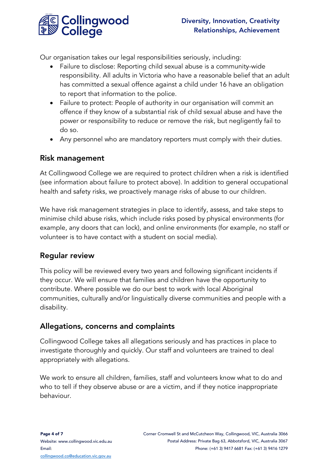

Our organisation takes our legal responsibilities seriously, including:

- Failure to disclose: Reporting child sexual abuse is a community-wide responsibility. All adults in Victoria who have a reasonable belief that an adult has committed a sexual offence against a child under 16 have an obligation to report that information to the police.
- Failure to protect: People of authority in our organisation will commit an offence if they know of a substantial risk of child sexual abuse and have the power or responsibility to reduce or remove the risk, but negligently fail to do so.
- Any personnel who are mandatory reporters must comply with their duties.

#### Risk management

At Collingwood College we are required to protect children when a risk is identified (see information about failure to protect above). In addition to general occupational health and safety risks, we proactively manage risks of abuse to our children.

We have risk management strategies in place to identify, assess, and take steps to minimise child abuse risks, which include risks posed by physical environments (for example, any doors that can lock), and online environments (for example, no staff or volunteer is to have contact with a student on social media).

### Regular review

This policy will be reviewed every two years and following significant incidents if they occur. We will ensure that families and children have the opportunity to contribute. Where possible we do our best to work with local Aboriginal communities, culturally and/or linguistically diverse communities and people with a disability.

### Allegations, concerns and complaints

Collingwood College takes all allegations seriously and has practices in place to investigate thoroughly and quickly. Our staff and volunteers are trained to deal appropriately with allegations.

We work to ensure all children, families, staff and volunteers know what to do and who to tell if they observe abuse or are a victim, and if they notice inappropriate behaviour.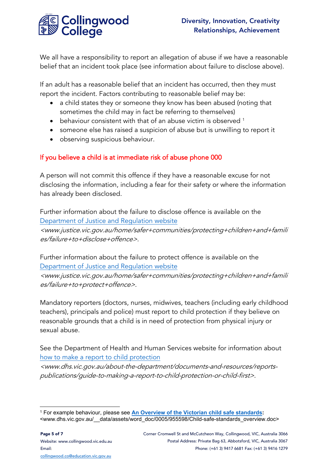

We all have a responsibility to report an allegation of abuse if we have a reasonable belief that an incident took place (see information about failure to disclose above).

If an adult has a reasonable belief that an incident has occurred, then they must report the incident. Factors contributing to reasonable belief may be:

- a child states they or someone they know has been abused (noting that sometimes the child may in fact be referring to themselves)
- behaviour consistent with that of an abuse victim is observed <sup>[1](#page-5-0)</sup>
- someone else has raised a suspicion of abuse but is unwilling to report it
- observing suspicious behaviour.

#### If you believe a child is at immediate risk of abuse phone 000

A person will not commit this offence if they have a reasonable excuse for not disclosing the information, including a fear for their safety or where the information has already been disclosed.

Further information about the failure to disclose offence is available on the [Department of Justice and Regulation website](http://www.justice.vic.gov.au/home/safer+communities/protecting+children+and+families/failure+to+disclose+offence) <www.justice.vic.gov.au/home/safer+communities/protecting+children+and+famili es/failure+to+disclose+offence>.

Further information about the failure to protect offence is available on the [Department of Justice and Regulation website](http://www.justice.vic.gov.au/home/safer+communities/protecting+children+and+families/failure+to+protect+offence)

<www.justice.vic.gov.au/home/safer+communities/protecting+children+and+famili es/failure+to+protect+offence>.

Mandatory reporters (doctors, nurses, midwives, teachers (including early childhood teachers), principals and police) must report to child protection if they believe on reasonable grounds that a child is in need of protection from physical injury or sexual abuse.

See the Department of Health and Human Services website for information about [how to make a report to child protection](http://www.dhs.vic.gov.au/about-the-department/documents-and-resources/reports-publications/guide-to-making-a-report-to-child-protection-or-child-first)

<www.dhs.vic.gov.au/about-the-department/documents-and-resources/reportspublications/guide-to-making-a-report-to-child-protection-or-child-first>.

<span id="page-5-0"></span><sup>1</sup> For example behaviour, please see **[An Overview of the Victorian child safe standards:](http://www.dhs.vic.gov.au/__data/assets/word_doc/0005/955598/Child-safe-standards_overview.doc)**  <www.dhs.vic.gov.au/\_\_data/assets/word\_doc/0005/955598/Child-safe-standards\_overview.doc>